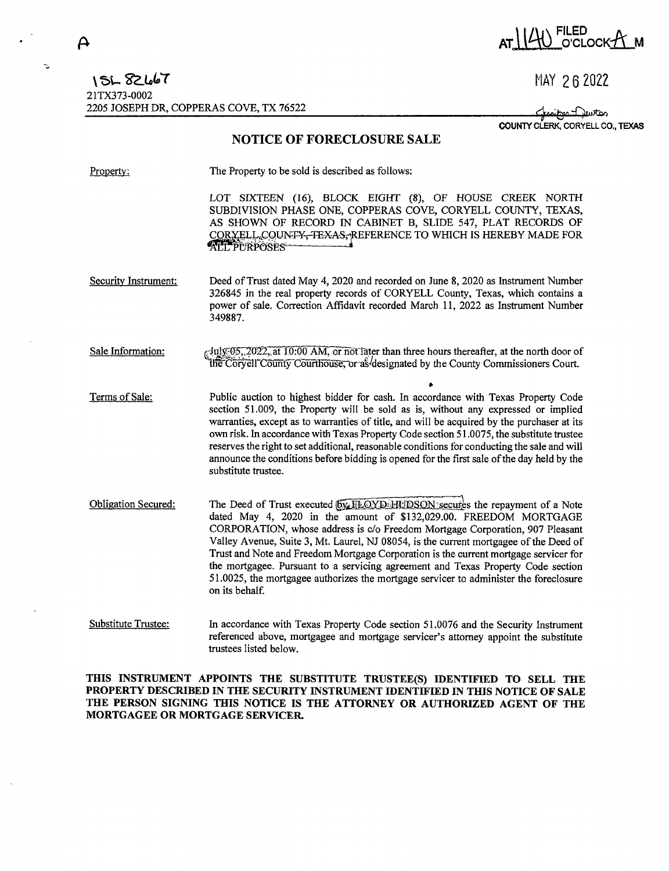$\boldsymbol{\mathsf{A}}$ 

 $\ddot{\sim}$ 

## AT 140 FILED<br>O'CLOCKA M

MAY 26 2022

Chaine Deuton COUNTY CLERK, CORYELL CO., TEXAS

## **NOTICE OF FORECLOSURE SALE**

| Property:                  | The Property to be sold is described as follows:                                                                                                                                                                                                                                                                                                                                                                                                                                                                                                                                                                  |
|----------------------------|-------------------------------------------------------------------------------------------------------------------------------------------------------------------------------------------------------------------------------------------------------------------------------------------------------------------------------------------------------------------------------------------------------------------------------------------------------------------------------------------------------------------------------------------------------------------------------------------------------------------|
|                            | LOT SIXTEEN (16), BLOCK EIGHT (8), OF HOUSE CREEK NORTH<br>SUBDIVISION PHASE ONE, COPPERAS COVE, CORYELL COUNTY, TEXAS,<br>AS SHOWN OF RECORD IN CABINET B, SLIDE 547, PLAT RECORDS OF<br>CORYELL COUNTY-TEXAS-REFERENCE TO WHICH IS HEREBY MADE FOR<br><b>ALL PURPOSES</b>                                                                                                                                                                                                                                                                                                                                       |
| Security Instrument:       | Deed of Trust dated May 4, 2020 and recorded on June 8, 2020 as Instrument Number<br>326845 in the real property records of CORYELL County, Texas, which contains a<br>power of sale. Correction Affidavit recorded March 11, 2022 as Instrument Number<br>349887.                                                                                                                                                                                                                                                                                                                                                |
| Sale Information:          | $\tau$ July 05, 2022, at 10:00 AM, or not later than three hours thereafter, at the north door of<br>the Coryell County Courthouse, or as designated by the County Commissioners Court.                                                                                                                                                                                                                                                                                                                                                                                                                           |
| Terms of Sale:             | Public auction to highest bidder for cash. In accordance with Texas Property Code<br>section 51.009, the Property will be sold as is, without any expressed or implied<br>warranties, except as to warranties of title, and will be acquired by the purchaser at its<br>own risk. In accordance with Texas Property Code section 51.0075, the substitute trustee<br>reserves the right to set additional, reasonable conditions for conducting the sale and will<br>announce the conditions before bidding is opened for the first sale of the day held by the<br>substitute trustee.                             |
| <b>Obligation Secured:</b> | The Deed of Trust executed (by FLOYD: HUDSON secures the repayment of a Note<br>dated May 4, 2020 in the amount of \$132,029.00. FREEDOM MORTGAGE<br>CORPORATION, whose address is c/o Freedom Mortgage Corporation, 907 Pleasant<br>Valley Avenue, Suite 3, Mt. Laurel, NJ 08054, is the current mortgagee of the Deed of<br>Trust and Note and Freedom Mortgage Corporation is the current mortgage servicer for<br>the mortgagee. Pursuant to a servicing agreement and Texas Property Code section<br>51.0025, the mortgagee authorizes the mortgage servicer to administer the foreclosure<br>on its behalf. |
| <b>Substitute Trustee:</b> | In accordance with Texas Property Code section 51.0076 and the Security Instrument<br>referenced above, mortgagee and mortgage servicer's attorney appoint the substitute<br>trustees listed below.                                                                                                                                                                                                                                                                                                                                                                                                               |

THIS INSTRUMENT APPOINTS THE SUBSTITUTE TRUSTEE(S) IDENTIFIED TO SELL THE PROPERTY DESCRIBED IN THE SECURITY INSTRUMENT IDENTIFIED IN THIS NOTICE OF SALE THE PERSON SIGNING THIS NOTICE IS THE ATTORNEY OR AUTHORIZED AGENT OF THE MORTGAGEE OR MORTGAGE SERVICER.